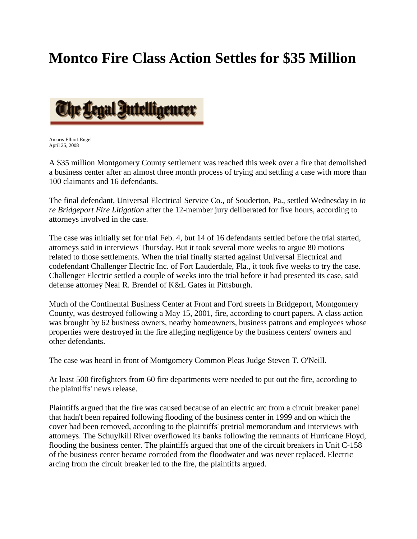## **Montco Fire Class Action Settles for \$35 Million**



Amaris Elliott-Engel April 25, 2008

A \$35 million Montgomery County settlement was reached this week over a fire that demolished a business center after an almost three month process of trying and settling a case with more than 100 claimants and 16 defendants.

The final defendant, Universal Electrical Service Co., of Souderton, Pa., settled Wednesday in *In re Bridgeport Fire Litigation* after the 12-member jury deliberated for five hours, according to attorneys involved in the case.

The case was initially set for trial Feb. 4, but 14 of 16 defendants settled before the trial started, attorneys said in interviews Thursday. But it took several more weeks to argue 80 motions related to those settlements. When the trial finally started against Universal Electrical and codefendant Challenger Electric Inc. of Fort Lauderdale, Fla., it took five weeks to try the case. Challenger Electric settled a couple of weeks into the trial before it had presented its case, said defense attorney Neal R. Brendel of K&L Gates in Pittsburgh.

Much of the Continental Business Center at Front and Ford streets in Bridgeport, Montgomery County, was destroyed following a May 15, 2001, fire, according to court papers. A class action was brought by 62 business owners, nearby homeowners, business patrons and employees whose properties were destroyed in the fire alleging negligence by the business centers' owners and other defendants.

The case was heard in front of Montgomery Common Pleas Judge Steven T. O'Neill.

At least 500 firefighters from 60 fire departments were needed to put out the fire, according to the plaintiffs' news release.

Plaintiffs argued that the fire was caused because of an electric arc from a circuit breaker panel that hadn't been repaired following flooding of the business center in 1999 and on which the cover had been removed, according to the plaintiffs' pretrial memorandum and interviews with attorneys. The Schuylkill River overflowed its banks following the remnants of Hurricane Floyd, flooding the business center. The plaintiffs argued that one of the circuit breakers in Unit C-158 of the business center became corroded from the floodwater and was never replaced. Electric arcing from the circuit breaker led to the fire, the plaintiffs argued.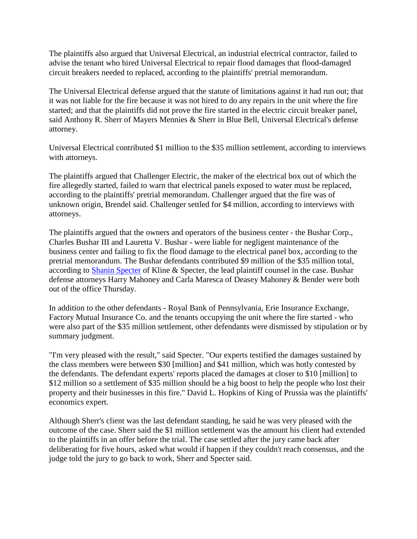The plaintiffs also argued that Universal Electrical, an industrial electrical contractor, failed to advise the tenant who hired Universal Electrical to repair flood damages that flood-damaged circuit breakers needed to replaced, according to the plaintiffs' pretrial memorandum.

The Universal Electrical defense argued that the statute of limitations against it had run out; that it was not liable for the fire because it was not hired to do any repairs in the unit where the fire started; and that the plaintiffs did not prove the fire started in the electric circuit breaker panel, said Anthony R. Sherr of Mayers Mennies & Sherr in Blue Bell, Universal Electrical's defense attorney.

Universal Electrical contributed \$1 million to the \$35 million settlement, according to interviews with attorneys.

The plaintiffs argued that Challenger Electric, the maker of the electrical box out of which the fire allegedly started, failed to warn that electrical panels exposed to water must be replaced, according to the plaintiffs' pretrial memorandum. Challenger argued that the fire was of unknown origin, Brendel said. Challenger settled for \$4 million, according to interviews with attorneys.

The plaintiffs argued that the owners and operators of the business center - the Bushar Corp., Charles Bushar III and Lauretta V. Bushar - were liable for negligent maintenance of the business center and failing to fix the flood damage to the electrical panel box, according to the pretrial memorandum. The Bushar defendants contributed \$9 million of the \$35 million total, according to Shanin Specter of Kline & Specter, the lead plaintiff counsel in the case. Bushar defense attorneys Harry Mahoney and Carla Maresca of Deasey Mahoney & Bender were both out of the office Thursday.

In addition to the other defendants - Royal Bank of Pennsylvania, Erie Insurance Exchange, Factory Mutual Insurance Co. and the tenants occupying the unit where the fire started - who were also part of the \$35 million settlement, other defendants were dismissed by stipulation or by summary judgment.

"I'm very pleased with the result," said Specter. "Our experts testified the damages sustained by the class members were between \$30 [million] and \$41 million, which was hotly contested by the defendants. The defendant experts' reports placed the damages at closer to \$10 [million] to \$12 million so a settlement of \$35 million should be a big boost to help the people who lost their property and their businesses in this fire." David L. Hopkins of King of Prussia was the plaintiffs' economics expert.

Although Sherr's client was the last defendant standing, he said he was very pleased with the outcome of the case. Sherr said the \$1 million settlement was the amount his client had extended to the plaintiffs in an offer before the trial. The case settled after the jury came back after deliberating for five hours, asked what would if happen if they couldn't reach consensus, and the judge told the jury to go back to work, Sherr and Specter said.